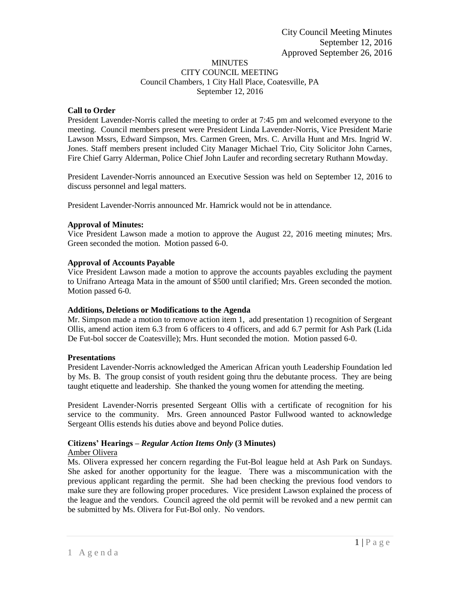## MINUTES CITY COUNCIL MEETING Council Chambers, 1 City Hall Place, Coatesville, PA September 12, 2016

# **Call to Order**

President Lavender-Norris called the meeting to order at 7:45 pm and welcomed everyone to the meeting. Council members present were President Linda Lavender-Norris, Vice President Marie Lawson Mssrs, Edward Simpson, Mrs. Carmen Green, Mrs. C. Arvilla Hunt and Mrs. Ingrid W. Jones. Staff members present included City Manager Michael Trio, City Solicitor John Carnes, Fire Chief Garry Alderman, Police Chief John Laufer and recording secretary Ruthann Mowday.

President Lavender-Norris announced an Executive Session was held on September 12, 2016 to discuss personnel and legal matters.

President Lavender-Norris announced Mr. Hamrick would not be in attendance.

# **Approval of Minutes:**

Vice President Lawson made a motion to approve the August 22, 2016 meeting minutes; Mrs. Green seconded the motion. Motion passed 6-0.

# **Approval of Accounts Payable**

Vice President Lawson made a motion to approve the accounts payables excluding the payment to Unifrano Arteaga Mata in the amount of \$500 until clarified; Mrs. Green seconded the motion. Motion passed 6-0.

## **Additions, Deletions or Modifications to the Agenda**

Mr. Simpson made a motion to remove action item 1, add presentation 1) recognition of Sergeant Ollis, amend action item 6.3 from 6 officers to 4 officers, and add 6.7 permit for Ash Park (Lida De Fut-bol soccer de Coatesville); Mrs. Hunt seconded the motion. Motion passed 6-0.

## **Presentations**

President Lavender-Norris acknowledged the American African youth Leadership Foundation led by Ms. B. The group consist of youth resident going thru the debutante process. They are being taught etiquette and leadership. She thanked the young women for attending the meeting.

President Lavender-Norris presented Sergeant Ollis with a certificate of recognition for his service to the community. Mrs. Green announced Pastor Fullwood wanted to acknowledge Sergeant Ollis estends his duties above and beyond Police duties.

# **Citizens' Hearings –** *Regular Action Items Only* **(3 Minutes)**

# Amber Olivera

Ms. Olivera expressed her concern regarding the Fut-Bol league held at Ash Park on Sundays. She asked for another opportunity for the league. There was a miscommunication with the previous applicant regarding the permit. She had been checking the previous food vendors to make sure they are following proper procedures. Vice president Lawson explained the process of the league and the vendors. Council agreed the old permit will be revoked and a new permit can be submitted by Ms. Olivera for Fut-Bol only. No vendors.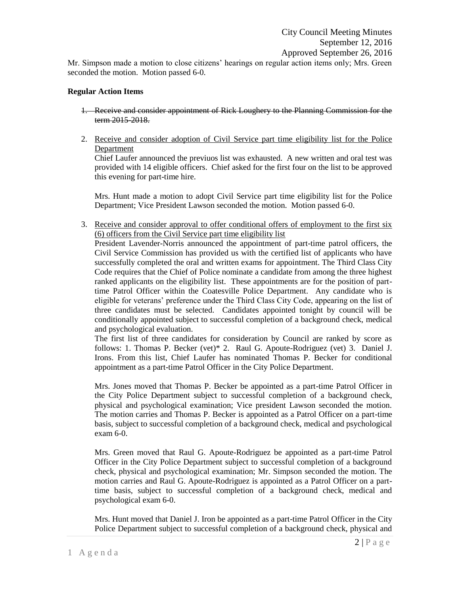Mr. Simpson made a motion to close citizens' hearings on regular action items only; Mrs. Green seconded the motion. Motion passed 6-0.

#### **Regular Action Items**

- 1. Receive and consider appointment of Rick Loughery to the Planning Commission for the term 2015-2018.
- 2. Receive and consider adoption of Civil Service part time eligibility list for the Police Department

Chief Laufer announced the previuos list was exhausted. A new written and oral test was provided with 14 eligible officers. Chief asked for the first four on the list to be approved this evening for part-time hire.

Mrs. Hunt made a motion to adopt Civil Service part time eligibility list for the Police Department; Vice President Lawson seconded the motion. Motion passed 6-0.

3. Receive and consider approval to offer conditional offers of employment to the first six (6) officers from the Civil Service part time eligibility list

President Lavender-Norris announced the appointment of part-time patrol officers, the Civil Service Commission has provided us with the certified list of applicants who have successfully completed the oral and written exams for appointment. The Third Class City Code requires that the Chief of Police nominate a candidate from among the three highest ranked applicants on the eligibility list. These appointments are for the position of parttime Patrol Officer within the Coatesville Police Department. Any candidate who is eligible for veterans' preference under the Third Class City Code, appearing on the list of three candidates must be selected. Candidates appointed tonight by council will be conditionally appointed subject to successful completion of a background check, medical and psychological evaluation.

The first list of three candidates for consideration by Council are ranked by score as follows: 1. Thomas P. Becker (vet)\* 2. Raul G. Apoute-Rodriguez (vet) 3. Daniel J. Irons. From this list, Chief Laufer has nominated Thomas P. Becker for conditional appointment as a part-time Patrol Officer in the City Police Department.

Mrs. Jones moved that Thomas P. Becker be appointed as a part-time Patrol Officer in the City Police Department subject to successful completion of a background check, physical and psychological examination; Vice president Lawson seconded the motion. The motion carries and Thomas P. Becker is appointed as a Patrol Officer on a part-time basis, subject to successful completion of a background check, medical and psychological exam 6-0.

Mrs. Green moved that Raul G. Apoute-Rodriguez be appointed as a part-time Patrol Officer in the City Police Department subject to successful completion of a background check, physical and psychological examination; Mr. Simpson seconded the motion. The motion carries and Raul G. Apoute-Rodriguez is appointed as a Patrol Officer on a parttime basis, subject to successful completion of a background check, medical and psychological exam 6-0.

Mrs. Hunt moved that Daniel J. Iron be appointed as a part-time Patrol Officer in the City Police Department subject to successful completion of a background check, physical and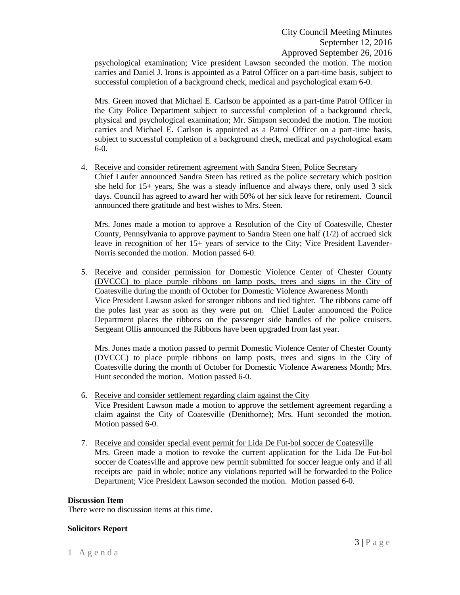psychological examination; Vice president Lawson seconded the motion. The motion carries and Daniel J. Irons is appointed as a Patrol Officer on a part-time basis, subject to successful completion of a background check, medical and psychological exam 6-0.

Mrs. Green moved that Michael E. Carlson be appointed as a part-time Patrol Officer in the City Police Department subject to successful completion of a background check, physical and psychological examination; Mr. Simpson seconded the motion. The motion carries and Michael E. Carlson is appointed as a Patrol Officer on a part-time basis, subject to successful completion of a background check, medical and psychological exam 6-0.

#### 4. Receive and consider retirement agreement with Sandra Steen, Police Secretary

Chief Laufer announced Sandra Steen has retired as the police secretary which position she held for 15+ years, She was a steady influence and always there, only used 3 sick days. Council has agreed to award her with 50% of her sick leave for retirement. Council announced there gratitude and best wishes to Mrs. Steen.

Mrs. Jones made a motion to approve a Resolution of the City of Coatesville, Chester County, Pennsylvania to approve payment to Sandra Steen one half (1/2) of accrued sick leave in recognition of her 15+ years of service to the City; Vice President Lavender-Norris seconded the motion. Motion passed 6-0.

5. Receive and consider permission for Domestic Violence Center of Chester County (DVCCC) to place purple ribbons on lamp posts, trees and signs in the City of Coatesville during the month of October for Domestic Violence Awareness Month Vice President Lawson asked for stronger ribbons and tied tighter. The ribbons came off the poles last year as soon as they were put on. Chief Laufer announced the Police Department places the ribbons on the passenger side handles of the police cruisers. Sergeant Ollis announced the Ribbons have been upgraded from last year.

Mrs. Jones made a motion passed to permit Domestic Violence Center of Chester County (DVCCC) to place purple ribbons on lamp posts, trees and signs in the City of Coatesville during the month of October for Domestic Violence Awareness Month; Mrs. Hunt seconded the motion. Motion passed 6-0.

- 6. Receive and consider settlement regarding claim against the City Vice President Lawson made a motion to approve the settlement agreement regarding a claim against the City of Coatesville (Denithorne); Mrs. Hunt seconded the motion. Motion passed 6-0.
- 7. Receive and consider special event permit for Lida De Fut-bol soccer de Coatesville Mrs. Green made a motion to revoke the current application for the Lida De Fut-bol soccer de Coatesville and approve new permit submitted for soccer league only and if all receipts are paid in whole; notice any violations reported will be forwarded to the Police Department; Vice President Lawson seconded the motion. Motion passed 6-0.

#### **Discussion Item**

There were no discussion items at this time.

#### **Solicitors Report**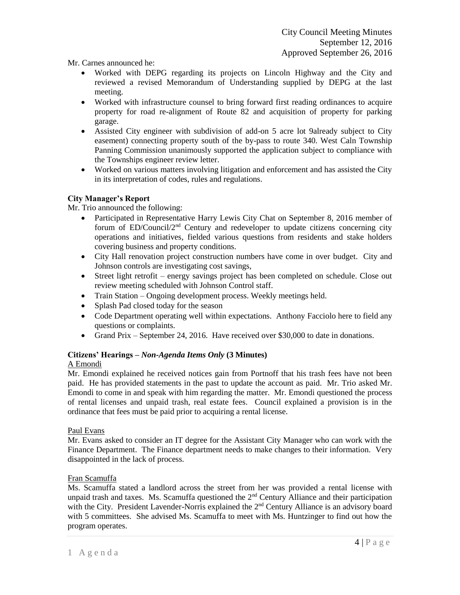Mr. Carnes announced he:

- Worked with DEPG regarding its projects on Lincoln Highway and the City and reviewed a revised Memorandum of Understanding supplied by DEPG at the last meeting.
- Worked with infrastructure counsel to bring forward first reading ordinances to acquire property for road re-alignment of Route 82 and acquisition of property for parking garage.
- Assisted City engineer with subdivision of add-on 5 acre lot 9already subject to City easement) connecting property south of the by-pass to route 340. West Caln Township Panning Commission unanimously supported the application subject to compliance with the Townships engineer review letter.
- Worked on various matters involving litigation and enforcement and has assisted the City in its interpretation of codes, rules and regulations.

# **City Manager's Report**

Mr. Trio announced the following:

- Participated in Representative Harry Lewis City Chat on September 8, 2016 member of forum of ED/Council/2nd Century and redeveloper to update citizens concerning city operations and initiatives, fielded various questions from residents and stake holders covering business and property conditions.
- City Hall renovation project construction numbers have come in over budget. City and Johnson controls are investigating cost savings,
- Street light retrofit energy savings project has been completed on schedule. Close out review meeting scheduled with Johnson Control staff.
- Train Station Ongoing development process. Weekly meetings held.
- Splash Pad closed today for the season
- Code Department operating well within expectations. Anthony Facciolo here to field any questions or complaints.
- Grand Prix September 24, 2016. Have received over \$30,000 to date in donations.

## **Citizens' Hearings –** *Non-Agenda Items Only* **(3 Minutes)**

## A Emondi

Mr. Emondi explained he received notices gain from Portnoff that his trash fees have not been paid. He has provided statements in the past to update the account as paid. Mr. Trio asked Mr. Emondi to come in and speak with him regarding the matter. Mr. Emondi questioned the process of rental licenses and unpaid trash, real estate fees. Council explained a provision is in the ordinance that fees must be paid prior to acquiring a rental license.

## Paul Evans

Mr. Evans asked to consider an IT degree for the Assistant City Manager who can work with the Finance Department. The Finance department needs to make changes to their information. Very disappointed in the lack of process.

## Fran Scamuffa

Ms. Scamuffa stated a landlord across the street from her was provided a rental license with unpaid trash and taxes. Ms. Scamuffa questioned the  $2<sup>nd</sup>$  Century Alliance and their participation with the City. President Lavender-Norris explained the  $2<sup>nd</sup>$  Century Alliance is an advisory board with 5 committees. She advised Ms. Scamuffa to meet with Ms. Huntzinger to find out how the program operates.